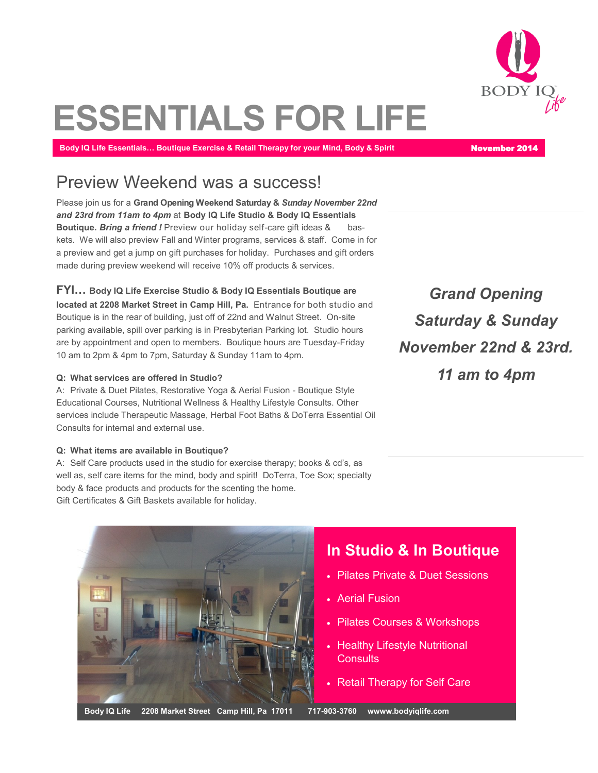

# **ESSENTIALS FOR LIFE**

**Body IQ Life Essentials... Boutique Exercise & Retail Therapy for your Mind, Body & Spirit November 2014** 

#### Preview Weekend was a success!

Please join us for a **Grand Opening Weekend Saturday &** *Sunday November 22nd and 23rd from 11am to 4pm* at **Body IQ Life Studio & Body IQ Essentials Boutique.** *Bring a friend !* Preview our holiday self-care gift ideas & baskets. We will also preview Fall and Winter programs, services & staff. Come in for a preview and get a jump on gift purchases for holiday. Purchases and gift orders made during preview weekend will receive 10% off products & services.

**FYI… Body IQ Life Exercise Studio & Body IQ Essentials Boutique are located at 2208 Market Street in Camp Hill, Pa.** Entrance for both studio and Boutique is in the rear of building, just off of 22nd and Walnut Street. On-site parking available, spill over parking is in Presbyterian Parking lot. Studio hours are by appointment and open to members. Boutique hours are Tuesday-Friday 10 am to 2pm & 4pm to 7pm, Saturday & Sunday 11am to 4pm.

#### **Q: What services are offered in Studio?**

A: Private & Duet Pilates, Restorative Yoga & Aerial Fusion - Boutique Style Educational Courses, Nutritional Wellness & Healthy Lifestyle Consults. Other services include Therapeutic Massage, Herbal Foot Baths & DoTerra Essential Oil Consults for internal and external use.

#### **Q: What items are available in Boutique?**

A: Self Care products used in the studio for exercise therapy; books & cd's, as well as, self care items for the mind, body and spirit! DoTerra, Toe Sox; specialty body & face products and products for the scenting the home. Gift Certificates & Gift Baskets available for holiday.

*Grand Opening Saturday & Sunday November 22nd & 23rd. 11 am to 4pm* 

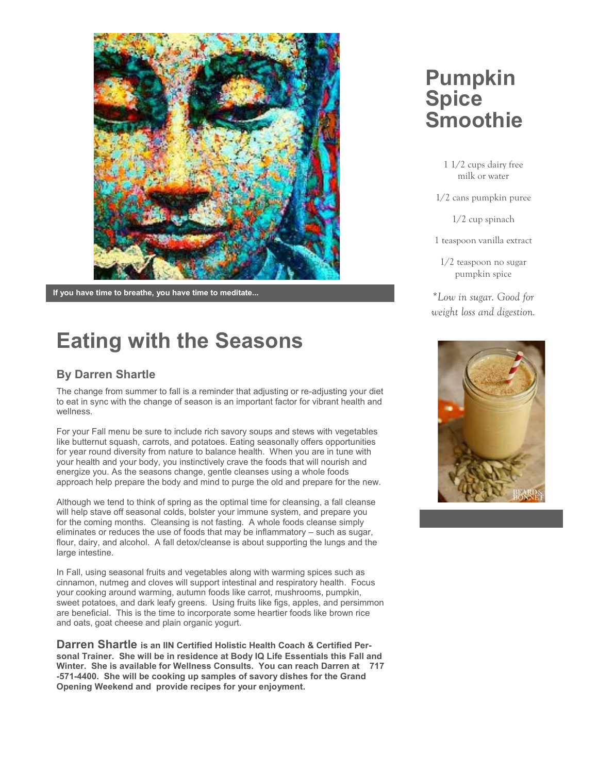

**If you have time to breathe, you have time to meditate...**

## **Eating with the Seasons**

#### **By Darren Shartle**

The change from summer to fall is a reminder that adjusting or re-adjusting your diet to eat in sync with the change of season is an important factor for vibrant health and wellness.

For your Fall menu be sure to include rich savory soups and stews with vegetables like butternut squash, carrots, and potatoes. Eating seasonally offers opportunities for year round diversity from nature to balance health. When you are in tune with your health and your body, you instinctively crave the foods that will nourish and energize you. As the seasons change, gentle cleanses using a whole foods approach help prepare the body and mind to purge the old and prepare for the new.

Although we tend to think of spring as the optimal time for cleansing, a fall cleanse will help stave off seasonal colds, bolster your immune system, and prepare you for the coming months. Cleansing is not fasting. A whole foods cleanse simply eliminates or reduces the use of foods that may be inflammatory – such as sugar, flour, dairy, and alcohol. A fall detox/cleanse is about supporting the lungs and the large intestine.

In Fall, using seasonal fruits and vegetables along with warming spices such as cinnamon, nutmeg and cloves will support intestinal and respiratory health. Focus your cooking around warming, autumn foods like carrot, mushrooms, pumpkin, sweet potatoes, and dark leafy greens. Using fruits like figs, apples, and persimmon are beneficial. This is the time to incorporate some heartier foods like brown rice and oats, goat cheese and plain organic yogurt.

**Darren Shartle is an IIN Certified Holistic Health Coach & Certified Personal Trainer. She will be in residence at Body IQ Life Essentials this Fall and Winter. She is available for Wellness Consults. You can reach Darren at 717 -571-4400. She will be cooking up samples of savory dishes for the Grand Opening Weekend and provide recipes for your enjoyment.**

### **Pumpkin Spice Smoothie**

1 1/2 cups dairy free milk or water

1/2 cans pumpkin puree

1/2 cup spinach

1 teaspoon vanilla extract

1/2 teaspoon no sugar pumpkin spice

\**Low in sugar. Good for weight loss and digestion.*

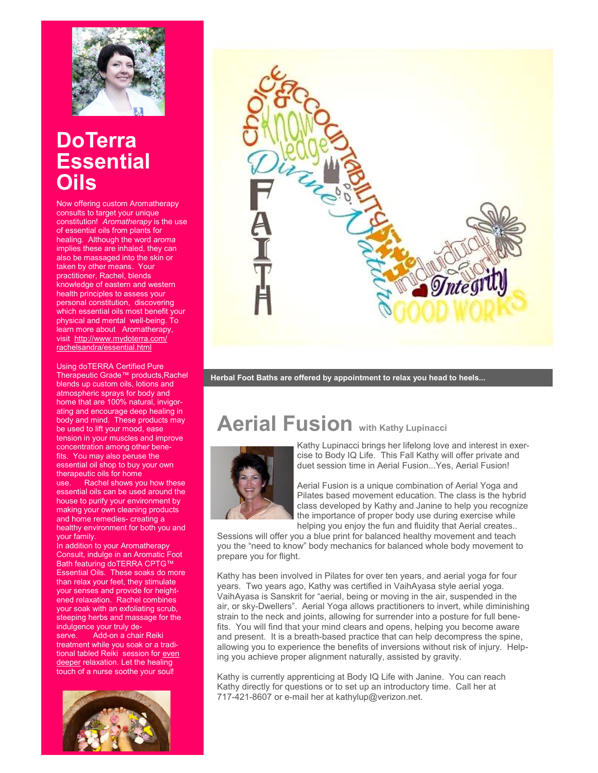

### **DoTerra Essential Oils**

Now offering custom Aromatherapy consults to target your unique constitution! *Aromatherapy* is the use of essential oils from plants for healing. Although the word *aroma*  implies these are inhaled, they can also be massaged into the skin or taken by other means. Your practitioner, Rachel, blends knowledge of eastern and western health principles to assess your personal constitution, discovering which essential oils most benefit your physical and mental well-being. To learn more about Aromatherapy, visit [http://www.mydoterra.com/](http://www.mydoterra.com/rachelsandra/essentialUses.html) [rachelsandra/essential.html](http://www.mydoterra.com/rachelsandra/essentialUses.html)

Using doTERRA Certified Pure Therapeutic Grade™ products,Rachel blends up custom oils, lotions and atmospheric sprays for body and home that are 100% natural, invigorating and encourage deep healing in body and mind. These products may be used to lift your mood, ease tension in your muscles and improve concentration among other benefits. You may also peruse the essential oil shop to buy your own therapeutic oils for home<br>use Rachel shows vo Rachel shows you how these essential oils can be used around the house to purify your environment by making your own cleaning products and home remedies- creating a healthy environment for both you and your family.

In addition to your Aromatherapy Consult, indulge in an Aromatic Foot Bath featuring doTERRA CPTG™ Essential Oils. These soaks do more than relax your feet, they stimulate your senses and provide for heightened relaxation. Rachel combines your soak with an exfoliating scrub, steeping herbs and massage for the indulgence your truly deserve. Add-on a chair Reiki treatment while you soak or a traditional tabled Reiki session for even deeper relaxation. Let the healing touch of a nurse soothe your soul!





**Herbal Foot Baths are offered by appointment to relax you head to heels...**

### **Aerial Fusion with Kathy Lupinacci**



Kathy Lupinacci brings her lifelong love and interest in exercise to Body IQ Life. This Fall Kathy will offer private and duet session time in Aerial Fusion...Yes, Aerial Fusion!

Aerial Fusion is a unique combination of Aerial Yoga and Pilates based movement education. The class is the hybrid class developed by Kathy and Janine to help you recognize the importance of proper body use during exercise while helping you enjoy the fun and fluidity that Aerial creates..

Sessions will offer you a blue print for balanced healthy movement and teach you the "need to know" body mechanics for balanced whole body movement to prepare you for flight.

Kathy has been involved in Pilates for over ten years, and aerial yoga for four years. Two years ago, Kathy was certified in VaihAyasa style aerial yoga. VaihAyasa is Sanskrit for "aerial, being or moving in the air, suspended in the air, or sky-Dwellers". Aerial Yoga allows practitioners to invert, while diminishing strain to the neck and joints, allowing for surrender into a posture for full benefits. You will find that your mind clears and opens, helping you become aware and present. It is a breath-based practice that can help decompress the spine, allowing you to experience the benefits of inversions without risk of injury. Helping you achieve proper alignment naturally, assisted by gravity.

Kathy is currently apprenticing at Body IQ Life with Janine. You can reach Kathy directly for questions or to set up an introductory time. Call her at 717-421-8607 or e-mail her at kathylup@verizon.net.